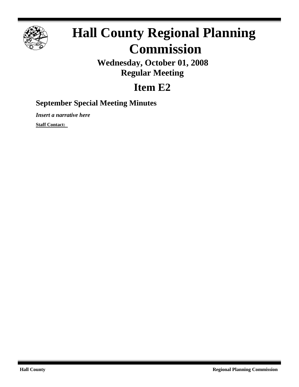

# **Hall County Regional Planning Commission**

**Wednesday, October 01, 2008 Regular Meeting**

## **Item E2**

### **September Special Meeting Minutes**

*Insert a narrative here*

**Staff Contact:**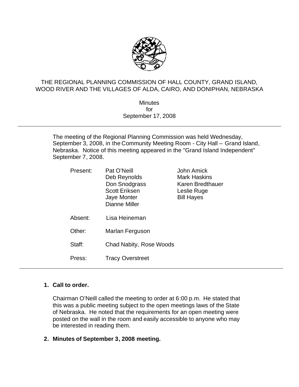

#### THE REGIONAL PLANNING COMMISSION OF HALL COUNTY, GRAND ISLAND, WOOD RIVER AND THE VILLAGES OF ALDA, CAIRO, AND DONIPHAN, NEBRASKA

**Minutes** for September 17, 2008

The meeting of the Regional Planning Commission was held Wednesday, September 3, 2008, in the Community Meeting Room - City Hall – Grand Island, Nebraska. Notice of this meeting appeared in the "Grand Island Independent" September 7, 2008.

| Present: | Pat O'Neill<br>Deb Reynolds<br>Don Snodgrass<br><b>Scott Eriksen</b><br><b>Jaye Monter</b><br>Dianne Miller | John Amick<br>Mark Haskins<br>Karen Bredthauer<br>Leslie Ruge<br><b>Bill Hayes</b> |
|----------|-------------------------------------------------------------------------------------------------------------|------------------------------------------------------------------------------------|
| Absent:  | Lisa Heineman                                                                                               |                                                                                    |
| Other:   | Marlan Ferguson                                                                                             |                                                                                    |
| Staff:   | Chad Nabity, Rose Woods                                                                                     |                                                                                    |
| Press:   | <b>Tracy Overstreet</b>                                                                                     |                                                                                    |

#### **1. Call to order.**

Chairman O'Neill called the meeting to order at 6:00 p.m. He stated that this was a public meeting subject to the open meetings laws of the State of Nebraska. He noted that the requirements for an open meeting were posted on the wall in the room and easily accessible to anyone who may be interested in reading them.

#### **2. Minutes of September 3, 2008 meeting.**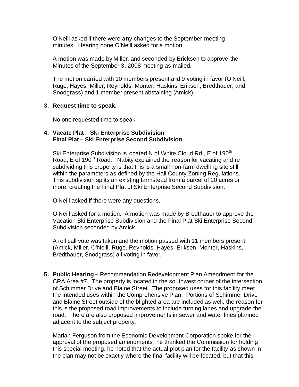O'Neill asked if there were any changes to the September meeting minutes. Hearing none O'Neill asked for a motion.

A motion was made by Miller, and seconded by Ericksen to approve the Minutes of the September 3, 2008 meeting as mailed.

The motion carried with 10 members present and 9 voting in favor (O'Neill, Ruge, Hayes, Miller, Reynolds, Monter, Haskins, Eriksen, Bredthauer, and Snodgrass) and 1 member present abstaining (Amick).

#### **3. Request time to speak.**

No one requested time to speak.

#### **4. Vacate Plat – Ski Enterprise Subdivision Final Plat – Ski Enterprise Second Subdivision**

Ski Enterprise Subdivision is located N of White Cloud Rd., E of 190<sup>th</sup> Road, E of 190<sup>th</sup> Road. Nabity explained the reason for vacating and re subdividing this property is that this is a small non-farm dwelling site still within the parameters as defined by the Hall County Zoning Regulations. This subdivision splits an existing farmstead from a parcel of 20 acres or more, creating the Final Plat of Ski Enterprise Second Subdivision.

O'Neill asked if there were any questions.

O'Neill asked for a motion. A motion was made by Bredthauer to approve the Vacation Ski Enterprise Subdivision and the Final Plat Ski Enterprise Second Subdivision seconded by Amick.

A roll call vote was taken and the motion passed with 11 members present (Amick, Miller, O'Neill, Ruge, Reynolds, Hayes, Eriksen, Monter, Haskins, Bredthauer, Snodgrass) all voting in favor.

**5. Public Hearing –** Recommendation Redevelopment Plan Amendment for the CRA Area #7. The property is located in the southwest corner of the intersection of Schimmer Drive and Blaine Street. The proposed uses for this facility meet the intended uses within the Comprehensive Plan. Portions of Schimmer Drive and Blaine Street outside of the blighted area are included as well, the reason for this is the proposed road improvements to include turning lanes and upgrade the road. There are also proposed improvements in sewer and water lines planned adjacent to the subject property.

Marlan Ferguson from the Economic Development Corporation spoke for the approval of the proposed amendments, he thanked the Commission for holding this special meeting, he noted that the actual plot plan for the facility as shown in the plan may not be exactly where the final facility will be located, but that this